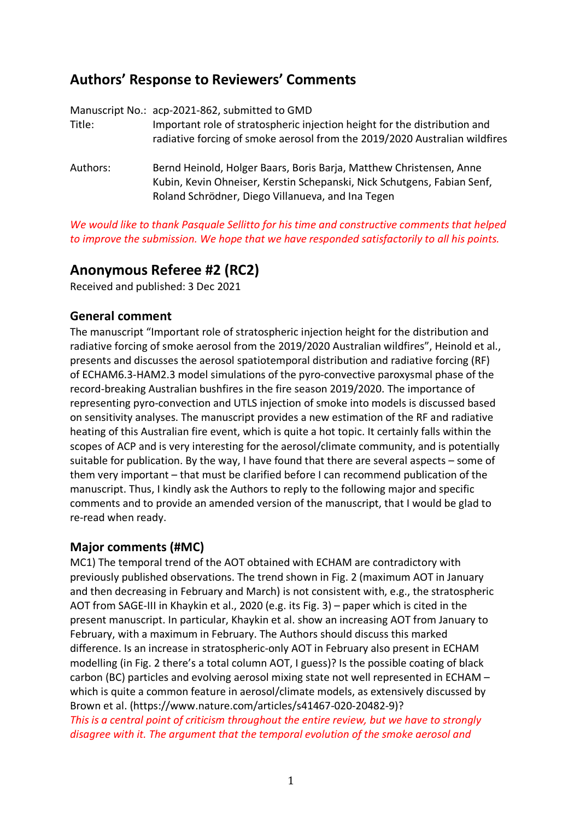# **Authors' Response to Reviewers' Comments**

Manuscript No.: acp-2021-862, submitted to GMD Title: Important role of stratospheric injection height for the distribution and radiative forcing of smoke aerosol from the 2019/2020 Australian wildfires Authors: Bernd Heinold, Holger Baars, Boris Barja, Matthew Christensen, Anne Kubin, Kevin Ohneiser, Kerstin Schepanski, Nick Schutgens, Fabian Senf, Roland Schrödner, Diego Villanueva, and Ina Tegen

*We would like to thank Pasquale Sellitto for his time and constructive comments that helped to improve the submission. We hope that we have responded satisfactorily to all his points.*

## **Anonymous Referee #2 (RC2)**

Received and published: 3 Dec 2021

## **General comment**

The manuscript "Important role of stratospheric injection height for the distribution and radiative forcing of smoke aerosol from the 2019/2020 Australian wildfires", Heinold et al., presents and discusses the aerosol spatiotemporal distribution and radiative forcing (RF) of ECHAM6.3-HAM2.3 model simulations of the pyro-convective paroxysmal phase of the record-breaking Australian bushfires in the fire season 2019/2020. The importance of representing pyro-convection and UTLS injection of smoke into models is discussed based on sensitivity analyses. The manuscript provides a new estimation of the RF and radiative heating of this Australian fire event, which is quite a hot topic. It certainly falls within the scopes of ACP and is very interesting for the aerosol/climate community, and is potentially suitable for publication. By the way, I have found that there are several aspects – some of them very important – that must be clarified before I can recommend publication of the manuscript. Thus, I kindly ask the Authors to reply to the following major and specific comments and to provide an amended version of the manuscript, that I would be glad to re-read when ready.

## **Major comments (#MC)**

MC1) The temporal trend of the AOT obtained with ECHAM are contradictory with previously published observations. The trend shown in Fig. 2 (maximum AOT in January and then decreasing in February and March) is not consistent with, e.g., the stratospheric AOT from SAGE-III in Khaykin et al., 2020 (e.g. its Fig. 3) – paper which is cited in the present manuscript. In particular, Khaykin et al. show an increasing AOT from January to February, with a maximum in February. The Authors should discuss this marked difference. Is an increase in stratospheric-only AOT in February also present in ECHAM modelling (in Fig. 2 there's a total column AOT, I guess)? Is the possible coating of black carbon (BC) particles and evolving aerosol mixing state not well represented in ECHAM – which is quite a common feature in aerosol/climate models, as extensively discussed by Brown et al. (https://www.nature.com/articles/s41467-020-20482-9)?

*This is a central point of criticism throughout the entire review, but we have to strongly disagree with it. The argument that the temporal evolution of the smoke aerosol and*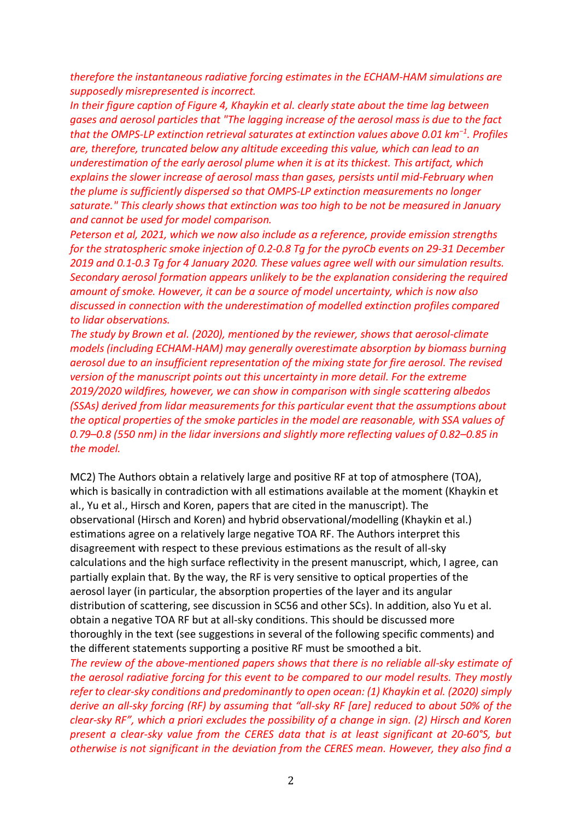*therefore the instantaneous radiative forcing estimates in the ECHAM-HAM simulations are supposedly misrepresented is incorrect.*

*In their figure caption of Figure 4, Khaykin et al. clearly state about the time lag between gases and aerosol particles that "The lagging increase of the aerosol mass is due to the fact that the OMPS-LP extinction retrieval saturates at extinction values above 0.01 km−1 . Profiles are, therefore, truncated below any altitude exceeding this value, which can lead to an underestimation of the early aerosol plume when it is at its thickest. This artifact, which explains the slower increase of aerosol mass than gases, persists until mid-February when the plume is sufficiently dispersed so that OMPS-LP extinction measurements no longer saturate." This clearly shows that extinction was too high to be not be measured in January and cannot be used for model comparison.*

*Peterson et al, 2021, which we now also include as a reference, provide emission strengths for the stratospheric smoke injection of 0.2-0.8 Tg for the pyroCb events on 29-31 December 2019 and 0.1-0.3 Tg for 4 January 2020. These values agree well with our simulation results. Secondary aerosol formation appears unlikely to be the explanation considering the required amount of smoke. However, it can be a source of model uncertainty, which is now also discussed in connection with the underestimation of modelled extinction profiles compared to lidar observations.*

*The study by Brown et al. (2020), mentioned by the reviewer, shows that aerosol-climate models (including ECHAM-HAM) may generally overestimate absorption by biomass burning aerosol due to an insufficient representation of the mixing state for fire aerosol. The revised version of the manuscript points out this uncertainty in more detail. For the extreme 2019/2020 wildfires, however, we can show in comparison with single scattering albedos (SSAs) derived from lidar measurements for this particular event that the assumptions about the optical properties of the smoke particles in the model are reasonable, with SSA values of 0.79–0.8 (550 nm) in the lidar inversions and slightly more reflecting values of 0.82–0.85 in the model.* 

MC2) The Authors obtain a relatively large and positive RF at top of atmosphere (TOA), which is basically in contradiction with all estimations available at the moment (Khaykin et al., Yu et al., Hirsch and Koren, papers that are cited in the manuscript). The observational (Hirsch and Koren) and hybrid observational/modelling (Khaykin et al.) estimations agree on a relatively large negative TOA RF. The Authors interpret this disagreement with respect to these previous estimations as the result of all-sky calculations and the high surface reflectivity in the present manuscript, which, I agree, can partially explain that. By the way, the RF is very sensitive to optical properties of the aerosol layer (in particular, the absorption properties of the layer and its angular distribution of scattering, see discussion in SC56 and other SCs). In addition, also Yu et al. obtain a negative TOA RF but at all-sky conditions. This should be discussed more thoroughly in the text (see suggestions in several of the following specific comments) and the different statements supporting a positive RF must be smoothed a bit.

*The review of the above-mentioned papers shows that there is no reliable all-sky estimate of the aerosol radiative forcing for this event to be compared to our model results. They mostly refer to clear-sky conditions and predominantly to open ocean: (1) Khaykin et al. (2020) simply derive an all-sky forcing (RF) by assuming that "all-sky RF [are] reduced to about 50% of the clear-sky RF", which a priori excludes the possibility of a change in sign. (2) Hirsch and Koren present a clear-sky value from the CERES data that is at least significant at 20-60°S, but otherwise is not significant in the deviation from the CERES mean. However, they also find a*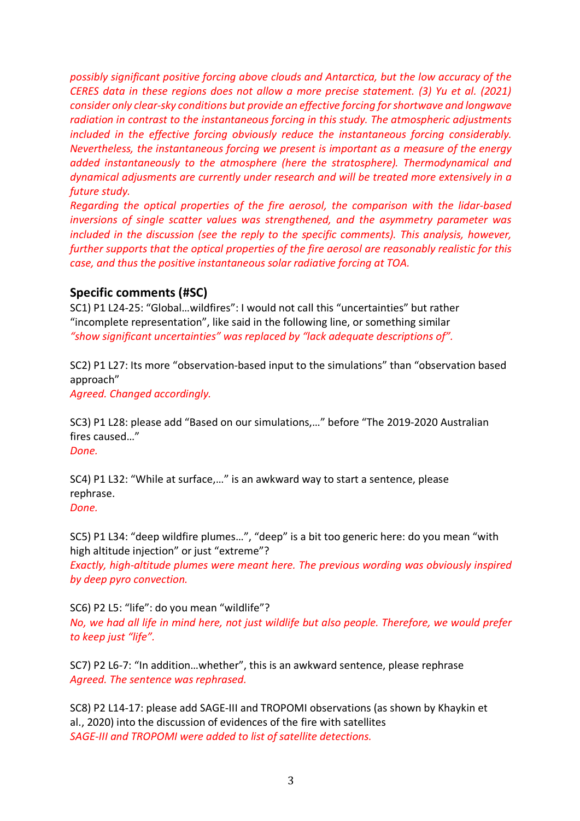*possibly significant positive forcing above clouds and Antarctica, but the low accuracy of the CERES data in these regions does not allow a more precise statement. (3) Yu et al. (2021) consider only clear-sky conditions but provide an effective forcing for shortwave and longwave radiation in contrast to the instantaneous forcing in this study. The atmospheric adjustments included in the effective forcing obviously reduce the instantaneous forcing considerably. Nevertheless, the instantaneous forcing we present is important as a measure of the energy added instantaneously to the atmosphere (here the stratosphere). Thermodynamical and dynamical adjusments are currently under research and will be treated more extensively in a future study.*

*Regarding the optical properties of the fire aerosol, the comparison with the lidar-based inversions of single scatter values was strengthened, and the asymmetry parameter was included in the discussion (see the reply to the specific comments). This analysis, however, further supports that the optical properties of the fire aerosol are reasonably realistic for this case, and thus the positive instantaneous solar radiative forcing at TOA.* 

#### **Specific comments (#SC)**

SC1) P1 L24-25: "Global…wildfires": I would not call this "uncertainties" but rather "incomplete representation", like said in the following line, or something similar *"show significant uncertainties" was replaced by "lack adequate descriptions of".*

SC2) P1 L27: Its more "observation-based input to the simulations" than "observation based approach"

*Agreed. Changed accordingly.*

SC3) P1 L28: please add "Based on our simulations,…" before "The 2019-2020 Australian fires caused…"

*Done.*

SC4) P1 L32: "While at surface,…" is an awkward way to start a sentence, please rephrase. *Done.*

SC5) P1 L34: "deep wildfire plumes…", "deep" is a bit too generic here: do you mean "with high altitude injection" or just "extreme"?

*Exactly, high-altitude plumes were meant here. The previous wording was obviously inspired by deep pyro convection.*

SC6) P2 L5: "life": do you mean "wildlife"? *No, we had all life in mind here, not just wildlife but also people. Therefore, we would prefer to keep just "life".*

SC7) P2 L6-7: "In addition…whether", this is an awkward sentence, please rephrase *Agreed. The sentence was rephrased.*

SC8) P2 L14-17: please add SAGE-III and TROPOMI observations (as shown by Khaykin et al., 2020) into the discussion of evidences of the fire with satellites *SAGE-III and TROPOMI were added to list of satellite detections.*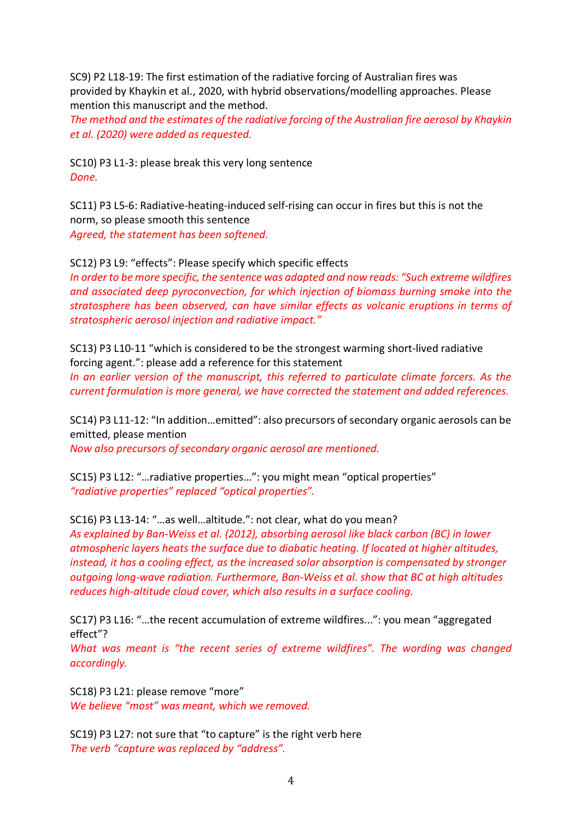SC9) P2 L18-19: The first estimation of the radiative forcing of Australian fires was provided by Khaykin et al., 2020, with hybrid observations/modelling approaches. Please mention this manuscript and the method.

*The method and the estimates of the radiative forcing of the Australian fire aerosol by Khaykin et al. (2020) were added as requested.*

SC10) P3 L1-3: please break this very long sentence *Done.*

SC11) P3 L5-6: Radiative-heating-induced self-rising can occur in fires but this is not the norm, so please smooth this sentence *Agreed, the statement has been softened.*

SC12) P3 L9: "effects": Please specify which specific effects

*In order to be more specific, the sentence was adapted and now reads: "Such extreme wildfires and associated deep pyroconvection, for which injection of biomass burning smoke into the stratosphere has been observed, can have similar effects as volcanic eruptions in terms of stratospheric aerosol injection and radiative impact."*

SC13) P3 L10-11 "which is considered to be the strongest warming short-lived radiative forcing agent.": please add a reference for this statement

*In an earlier version of the manuscript, this referred to particulate climate forcers. As the current formulation is more general, we have corrected the statement and added references.*

SC14) P3 L11-12: "In addition…emitted": also precursors of secondary organic aerosols can be emitted, please mention

*Now also precursors of secondary organic aerosol are mentioned.*

SC15) P3 L12: "…radiative properties…": you might mean "optical properties" *"radiative properties" replaced "optical properties".*

SC16) P3 L13-14: "…as well…altitude.": not clear, what do you mean?

*As explained by Ban-Weiss et al. (2012), absorbing aerosol like black carbon (BC) in lower atmospheric layers heats the surface due to diabatic heating. If located at higher altitudes, instead, it has a cooling effect, as the increased solar absorption is compensated by stronger outgoing long-wave radiation. Furthermore, Ban-Weiss et al. show that BC at high altitudes reduces high-altitude cloud cover, which also results in a surface cooling.*

SC17) P3 L16: "…the recent accumulation of extreme wildfires...": you mean "aggregated effect"?

*What was meant is "the recent series of extreme wildfires". The wording was changed accordingly.*

SC18) P3 L21: please remove "more" *We believe "most" was meant, which we removed.*

SC19) P3 L27: not sure that "to capture" is the right verb here *The verb "capture was replaced by "address".*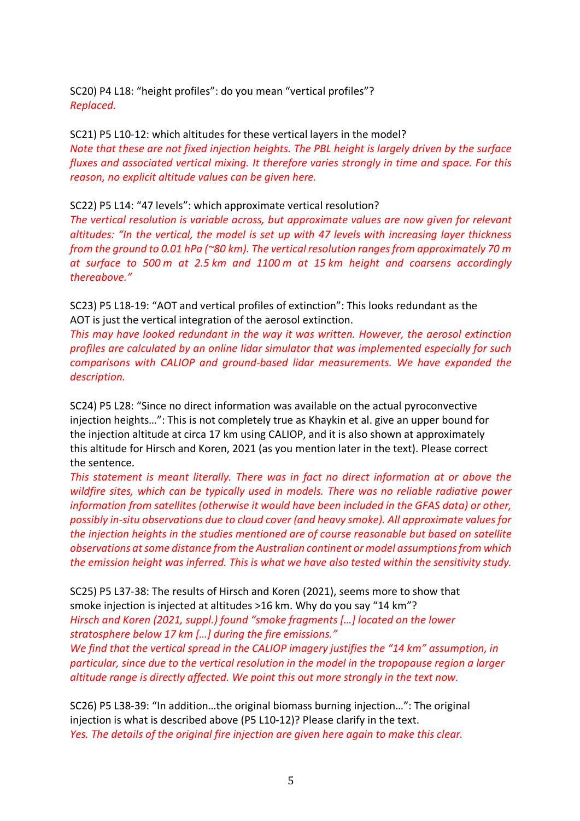SC20) P4 L18: "height profiles": do you mean "vertical profiles"? *Replaced.*

SC21) P5 L10-12: which altitudes for these vertical layers in the model? *Note that these are not fixed injection heights. The PBL height is largely driven by the surface fluxes and associated vertical mixing. It therefore varies strongly in time and space. For this reason, no explicit altitude values can be given here.*

SC22) P5 L14: "47 levels": which approximate vertical resolution?

*The vertical resolution is variable across, but approximate values are now given for relevant altitudes: "In the vertical, the model is set up with 47 levels with increasing layer thickness from the ground to 0.01 hPa (~80 km). The vertical resolution ranges from approximately 70 m at surface to 500 m at 2.5 km and 1100 m at 15 km height and coarsens accordingly thereabove."*

SC23) P5 L18-19: "AOT and vertical profiles of extinction": This looks redundant as the AOT is just the vertical integration of the aerosol extinction.

*This may have looked redundant in the way it was written. However, the aerosol extinction profiles are calculated by an online lidar simulator that was implemented especially for such comparisons with CALIOP and ground-based lidar measurements. We have expanded the description.*

SC24) P5 L28: "Since no direct information was available on the actual pyroconvective injection heights…": This is not completely true as Khaykin et al. give an upper bound for the injection altitude at circa 17 km using CALIOP, and it is also shown at approximately this altitude for Hirsch and Koren, 2021 (as you mention later in the text). Please correct the sentence.

*This statement is meant literally. There was in fact no direct information at or above the wildfire sites, which can be typically used in models. There was no reliable radiative power information from satellites (otherwise it would have been included in the GFAS data) or other, possibly in-situ observations due to cloud cover (and heavy smoke). All approximate values for the injection heights in the studies mentioned are of course reasonable but based on satellite observations at some distance from the Australian continent or model assumptions from which the emission height was inferred. This is what we have also tested within the sensitivity study.*

SC25) P5 L37-38: The results of Hirsch and Koren (2021), seems more to show that smoke injection is injected at altitudes >16 km. Why do you say "14 km"? *Hirsch and Koren (2021, suppl.) found "smoke fragments […] located on the lower stratosphere below 17 km […] during the fire emissions."* 

*We find that the vertical spread in the CALIOP imagery justifies the "14 km" assumption, in particular, since due to the vertical resolution in the model in the tropopause region a larger altitude range is directly affected. We point this out more strongly in the text now.*

SC26) P5 L38-39: "In addition…the original biomass burning injection…": The original injection is what is described above (P5 L10-12)? Please clarify in the text. *Yes. The details of the original fire injection are given here again to make this clear.*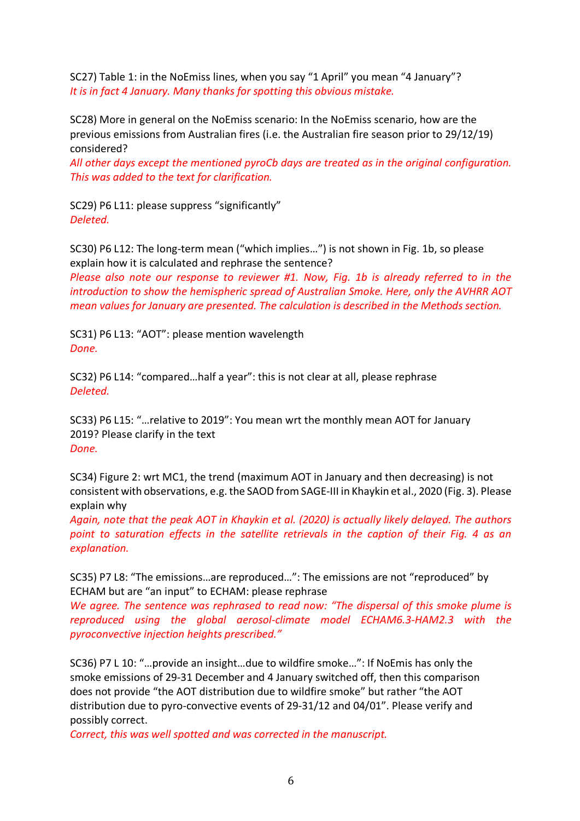SC27) Table 1: in the NoEmiss lines, when you say "1 April" you mean "4 January"? *It is in fact 4 January. Many thanks for spotting this obvious mistake.*

SC28) More in general on the NoEmiss scenario: In the NoEmiss scenario, how are the previous emissions from Australian fires (i.e. the Australian fire season prior to 29/12/19) considered?

*All other days except the mentioned pyroCb days are treated as in the original configuration. This was added to the text for clarification.*

SC29) P6 L11: please suppress "significantly" *Deleted.*

SC30) P6 L12: The long-term mean ("which implies…") is not shown in Fig. 1b, so please explain how it is calculated and rephrase the sentence?

*Please also note our response to reviewer #1. Now, Fig. 1b is already referred to in the introduction to show the hemispheric spread of Australian Smoke. Here, only the AVHRR AOT mean values for January are presented. The calculation is described in the Methods section.*

SC31) P6 L13: "AOT": please mention wavelength *Done.*

SC32) P6 L14: "compared…half a year": this is not clear at all, please rephrase *Deleted.*

SC33) P6 L15: "…relative to 2019": You mean wrt the monthly mean AOT for January 2019? Please clarify in the text *Done.*

SC34) Figure 2: wrt MC1, the trend (maximum AOT in January and then decreasing) is not consistent with observations, e.g. the SAOD from SAGE-III in Khaykin et al., 2020 (Fig. 3). Please explain why

*Again, note that the peak AOT in Khaykin et al. (2020) is actually likely delayed. The authors point to saturation effects in the satellite retrievals in the caption of their Fig. 4 as an explanation.*

SC35) P7 L8: "The emissions…are reproduced…": The emissions are not "reproduced" by ECHAM but are "an input" to ECHAM: please rephrase

*We agree. The sentence was rephrased to read now: "The dispersal of this smoke plume is reproduced using the global aerosol-climate model ECHAM6.3-HAM2.3 with the pyroconvective injection heights prescribed."*

SC36) P7 L 10: "…provide an insight…due to wildfire smoke…": If NoEmis has only the smoke emissions of 29-31 December and 4 January switched off, then this comparison does not provide "the AOT distribution due to wildfire smoke" but rather "the AOT distribution due to pyro-convective events of 29-31/12 and 04/01". Please verify and possibly correct.

*Correct, this was well spotted and was corrected in the manuscript.*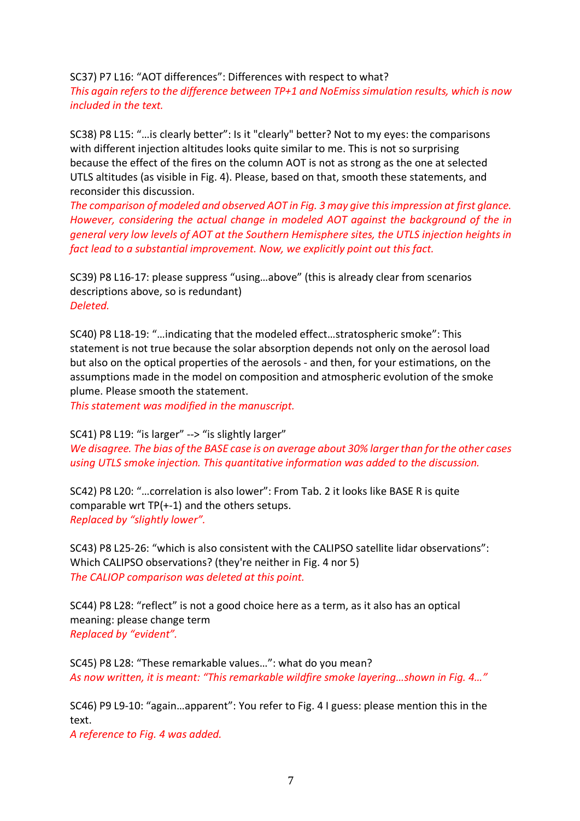SC37) P7 L16: "AOT differences": Differences with respect to what? *This again refers to the difference between TP+1 and NoEmiss simulation results, which is now included in the text.*

SC38) P8 L15: "…is clearly better": Is it "clearly" better? Not to my eyes: the comparisons with different injection altitudes looks quite similar to me. This is not so surprising because the effect of the fires on the column AOT is not as strong as the one at selected UTLS altitudes (as visible in Fig. 4). Please, based on that, smooth these statements, and reconsider this discussion.

*The comparison of modeled and observed AOT in Fig. 3 may give this impression at first glance. However, considering the actual change in modeled AOT against the background of the in general very low levels of AOT at the Southern Hemisphere sites, the UTLS injection heights in fact lead to a substantial improvement. Now, we explicitly point out this fact.*

SC39) P8 L16-17: please suppress "using…above" (this is already clear from scenarios descriptions above, so is redundant) *Deleted.*

SC40) P8 L18-19: "…indicating that the modeled effect…stratospheric smoke": This statement is not true because the solar absorption depends not only on the aerosol load but also on the optical properties of the aerosols - and then, for your estimations, on the assumptions made in the model on composition and atmospheric evolution of the smoke plume. Please smooth the statement.

*This statement was modified in the manuscript.* 

#### SC41) P8 L19: "is larger" --> "is slightly larger"

*We disagree. The bias of the BASE case is on average about 30% larger than for the other cases using UTLS smoke injection. This quantitative information was added to the discussion.* 

SC42) P8 L20: "…correlation is also lower": From Tab. 2 it looks like BASE R is quite comparable wrt TP(+-1) and the others setups. *Replaced by "slightly lower".*

SC43) P8 L25-26: "which is also consistent with the CALIPSO satellite lidar observations": Which CALIPSO observations? (they're neither in Fig. 4 nor 5) *The CALIOP comparison was deleted at this point.*

SC44) P8 L28: "reflect" is not a good choice here as a term, as it also has an optical meaning: please change term *Replaced by "evident".*

SC45) P8 L28: "These remarkable values…": what do you mean? *As now written, it is meant: "This remarkable wildfire smoke layering…shown in Fig. 4…"*

SC46) P9 L9-10: "again…apparent": You refer to Fig. 4 I guess: please mention this in the text.

*A reference to Fig. 4 was added.*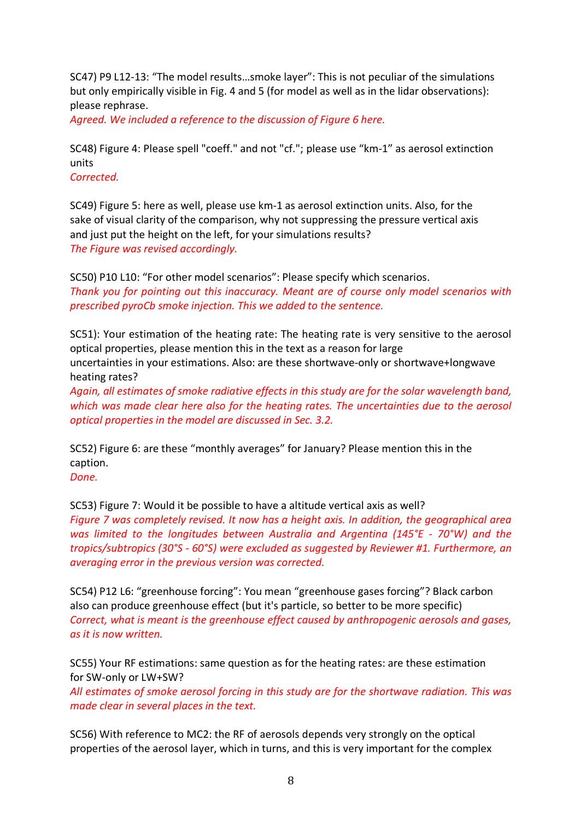SC47) P9 L12-13: "The model results…smoke layer": This is not peculiar of the simulations but only empirically visible in Fig. 4 and 5 (for model as well as in the lidar observations): please rephrase.

*Agreed. We included a reference to the discussion of Figure 6 here.*

SC48) Figure 4: Please spell "coeff." and not "cf."; please use "km-1" as aerosol extinction units

*Corrected.*

SC49) Figure 5: here as well, please use km-1 as aerosol extinction units. Also, for the sake of visual clarity of the comparison, why not suppressing the pressure vertical axis and just put the height on the left, for your simulations results? *The Figure was revised accordingly.*

SC50) P10 L10: "For other model scenarios": Please specify which scenarios. *Thank you for pointing out this inaccuracy. Meant are of course only model scenarios with prescribed pyroCb smoke injection. This we added to the sentence.* 

SC51): Your estimation of the heating rate: The heating rate is very sensitive to the aerosol optical properties, please mention this in the text as a reason for large uncertainties in your estimations. Also: are these shortwave-only or shortwave+longwave heating rates?

*Again, all estimates of smoke radiative effects in this study are for the solar wavelength band, which was made clear here also for the heating rates. The uncertainties due to the aerosol optical properties in the model are discussed in Sec. 3.2.* 

SC52) Figure 6: are these "monthly averages" for January? Please mention this in the caption.

*Done.*

SC53) Figure 7: Would it be possible to have a altitude vertical axis as well? *Figure 7 was completely revised. It now has a height axis. In addition, the geographical area was limited to the longitudes between Australia and Argentina (145°E - 70°W) and the tropics/subtropics (30°S - 60°S) were excluded as suggested by Reviewer #1. Furthermore, an averaging error in the previous version was corrected.*

SC54) P12 L6: "greenhouse forcing": You mean "greenhouse gases forcing"? Black carbon also can produce greenhouse effect (but it's particle, so better to be more specific) *Correct, what is meant is the greenhouse effect caused by anthropogenic aerosols and gases, as it is now written.*

SC55) Your RF estimations: same question as for the heating rates: are these estimation for SW-only or LW+SW?

*All estimates of smoke aerosol forcing in this study are for the shortwave radiation. This was made clear in several places in the text.*

SC56) With reference to MC2: the RF of aerosols depends very strongly on the optical properties of the aerosol layer, which in turns, and this is very important for the complex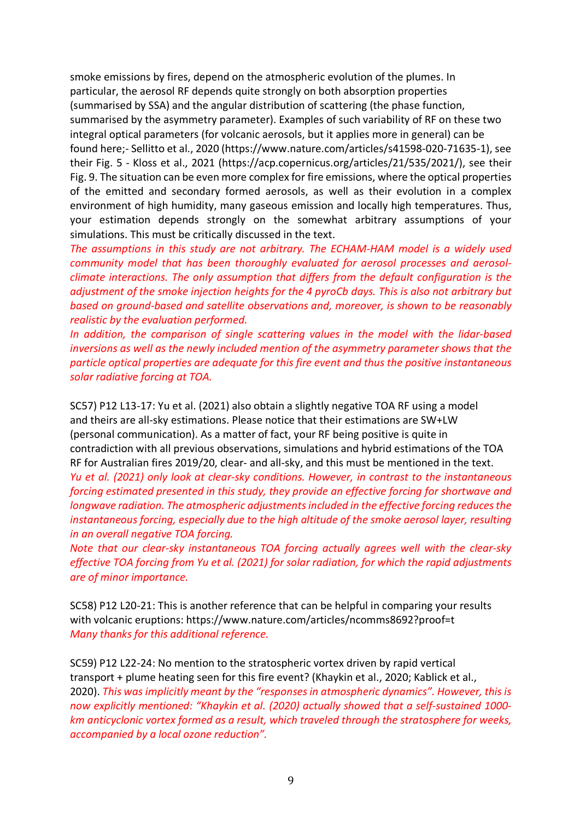smoke emissions by fires, depend on the atmospheric evolution of the plumes. In particular, the aerosol RF depends quite strongly on both absorption properties (summarised by SSA) and the angular distribution of scattering (the phase function, summarised by the asymmetry parameter). Examples of such variability of RF on these two integral optical parameters (for volcanic aerosols, but it applies more in general) can be found here;- Sellitto et al., 2020 (https://www.nature.com/articles/s41598-020-71635-1), see their Fig. 5 - Kloss et al., 2021 (https://acp.copernicus.org/articles/21/535/2021/), see their Fig. 9. The situation can be even more complex for fire emissions, where the optical properties of the emitted and secondary formed aerosols, as well as their evolution in a complex environment of high humidity, many gaseous emission and locally high temperatures. Thus, your estimation depends strongly on the somewhat arbitrary assumptions of your simulations. This must be critically discussed in the text.

*The assumptions in this study are not arbitrary. The ECHAM-HAM model is a widely used community model that has been thoroughly evaluated for aerosol processes and aerosolclimate interactions. The only assumption that differs from the default configuration is the adjustment of the smoke injection heights for the 4 pyroCb days. This is also not arbitrary but based on ground-based and satellite observations and, moreover, is shown to be reasonably realistic by the evaluation performed.*

*In addition, the comparison of single scattering values in the model with the lidar-based inversions as well as the newly included mention of the asymmetry parameter shows that the particle optical properties are adequate for this fire event and thus the positive instantaneous solar radiative forcing at TOA.* 

SC57) P12 L13-17: Yu et al. (2021) also obtain a slightly negative TOA RF using a model and theirs are all-sky estimations. Please notice that their estimations are SW+LW (personal communication). As a matter of fact, your RF being positive is quite in contradiction with all previous observations, simulations and hybrid estimations of the TOA RF for Australian fires 2019/20, clear- and all-sky, and this must be mentioned in the text.

*Yu et al. (2021) only look at clear-sky conditions. However, in contrast to the instantaneous forcing estimated presented in this study, they provide an effective forcing for shortwave and longwave radiation. The atmospheric adjustments included in the effective forcing reduces the instantaneous forcing, especially due to the high altitude of the smoke aerosol layer, resulting in an overall negative TOA forcing.* 

*Note that our clear-sky instantaneous TOA forcing actually agrees well with the clear-sky effective TOA forcing from Yu et al. (2021) for solar radiation, for which the rapid adjustments are of minor importance.*

SC58) P12 L20-21: This is another reference that can be helpful in comparing your results with volcanic eruptions: https://www.nature.com/articles/ncomms8692?proof=t *Many thanks for this additional reference.*

SC59) P12 L22-24: No mention to the stratospheric vortex driven by rapid vertical transport + plume heating seen for this fire event? (Khaykin et al., 2020; Kablick et al., 2020). *This was implicitly meant by the "responses in atmospheric dynamics". However, this is now explicitly mentioned: "Khaykin et al. (2020) actually showed that a self-sustained 1000 km anticyclonic vortex formed as a result, which traveled through the stratosphere for weeks, accompanied by a local ozone reduction".*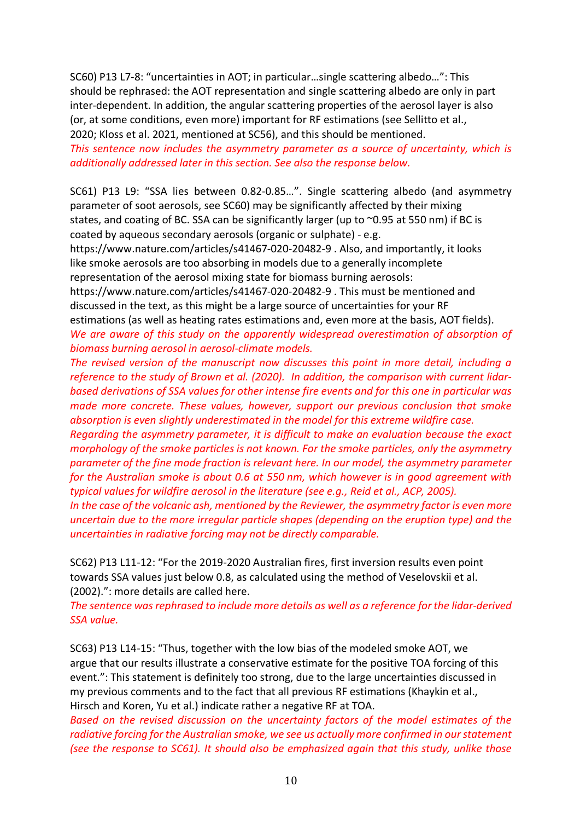SC60) P13 L7-8: "uncertainties in AOT; in particular…single scattering albedo…": This should be rephrased: the AOT representation and single scattering albedo are only in part inter-dependent. In addition, the angular scattering properties of the aerosol layer is also (or, at some conditions, even more) important for RF estimations (see Sellitto et al., 2020; Kloss et al. 2021, mentioned at SC56), and this should be mentioned.

*This sentence now includes the asymmetry parameter as a source of uncertainty, which is additionally addressed later in this section. See also the response below.*

SC61) P13 L9: "SSA lies between 0.82-0.85…". Single scattering albedo (and asymmetry parameter of soot aerosols, see SC60) may be significantly affected by their mixing states, and coating of BC. SSA can be significantly larger (up to ~0.95 at 550 nm) if BC is coated by aqueous secondary aerosols (organic or sulphate) - e.g.

https://www.nature.com/articles/s41467-020-20482-9 . Also, and importantly, it looks like smoke aerosols are too absorbing in models due to a generally incomplete representation of the aerosol mixing state for biomass burning aerosols:

https://www.nature.com/articles/s41467-020-20482-9 . This must be mentioned and discussed in the text, as this might be a large source of uncertainties for your RF

estimations (as well as heating rates estimations and, even more at the basis, AOT fields). *We are aware of this study on the apparently widespread overestimation of absorption of biomass burning aerosol in aerosol-climate models.*

*The revised version of the manuscript now discusses this point in more detail, including a reference to the study of Brown et al. (2020). In addition, the comparison with current lidarbased derivations of SSA values for other intense fire events and for this one in particular was made more concrete. These values, however, support our previous conclusion that smoke absorption is even slightly underestimated in the model for this extreme wildfire case.*

*Regarding the asymmetry parameter, it is difficult to make an evaluation because the exact morphology of the smoke particles is not known. For the smoke particles, only the asymmetry parameter of the fine mode fraction is relevant here. In our model, the asymmetry parameter for the Australian smoke is about 0.6 at 550 nm, which however is in good agreement with typical values for wildfire aerosol in the literature (see e.g., Reid et al., ACP, 2005).*

*In the case of the volcanic ash, mentioned by the Reviewer, the asymmetry factor is even more uncertain due to the more irregular particle shapes (depending on the eruption type) and the uncertainties in radiative forcing may not be directly comparable.*

SC62) P13 L11-12: "For the 2019-2020 Australian fires, first inversion results even point towards SSA values just below 0.8, as calculated using the method of Veselovskii et al. (2002).": more details are called here.

*The sentence was rephrased to include more details as well as a reference for the lidar-derived SSA value.*

SC63) P13 L14-15: "Thus, together with the low bias of the modeled smoke AOT, we argue that our results illustrate a conservative estimate for the positive TOA forcing of this event.": This statement is definitely too strong, due to the large uncertainties discussed in my previous comments and to the fact that all previous RF estimations (Khaykin et al., Hirsch and Koren, Yu et al.) indicate rather a negative RF at TOA.

*Based on the revised discussion on the uncertainty factors of the model estimates of the radiative forcing for the Australian smoke, we see us actually more confirmed in our statement (see the response to SC61). It should also be emphasized again that this study, unlike those*